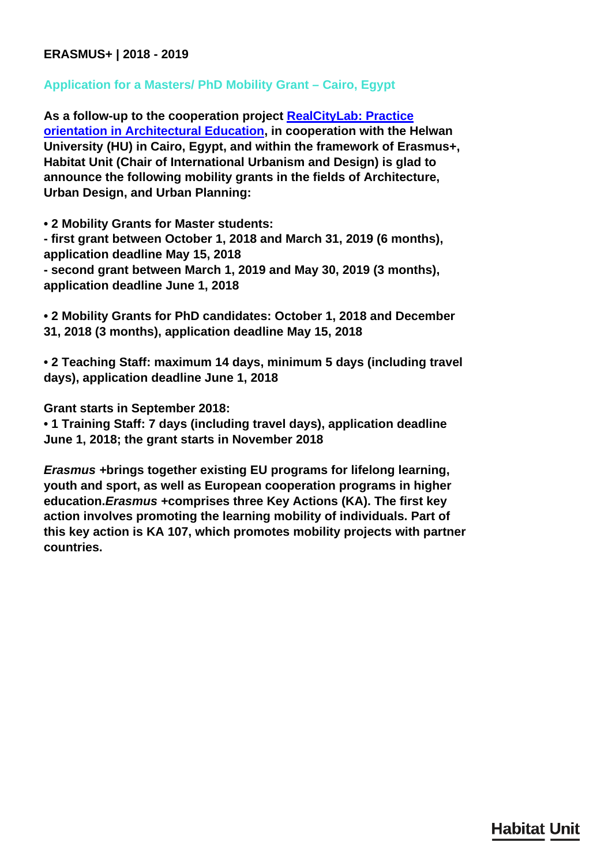## **ERASMUS+ | 2018 - 2019**

## **Application for a Masters/ PhD Mobility Grant – Cairo, Egypt**

**As a follow-up to the cooperation project [RealCityLab: Practice](/en/research/realcity-lab/) [orientation in Architectural Education](/en/research/realcity-lab/), in cooperation with the Helwan University (HU) in Cairo, Egypt, and within the framework of Erasmus+, Habitat Unit (Chair of International Urbanism and Design) is glad to announce the following mobility grants in the fields of Architecture, Urban Design, and Urban Planning:**

**• 2 Mobility Grants for Master students:**

**- first grant between October 1, 2018 and March 31, 2019 (6 months), application deadline May 15, 2018 - second grant between March 1, 2019 and May 30, 2019 (3 months),**

**application deadline June 1, 2018**

**• 2 Mobility Grants for PhD candidates: October 1, 2018 and December 31, 2018 (3 months), application deadline May 15, 2018**

**• 2 Teaching Staff: maximum 14 days, minimum 5 days (including travel days), application deadline June 1, 2018**

**Grant starts in September 2018:**

**• 1 Training Staff: 7 days (including travel days), application deadline June 1, 2018; the grant starts in November 2018**

*Erasmus +***brings together existing EU programs for lifelong learning, youth and sport, as well as European cooperation programs in higher education.***Erasmus +***comprises three Key Actions (KA). The first key action involves promoting the learning mobility of individuals. Part of this key action is KA 107, which promotes mobility projects with partner countries.**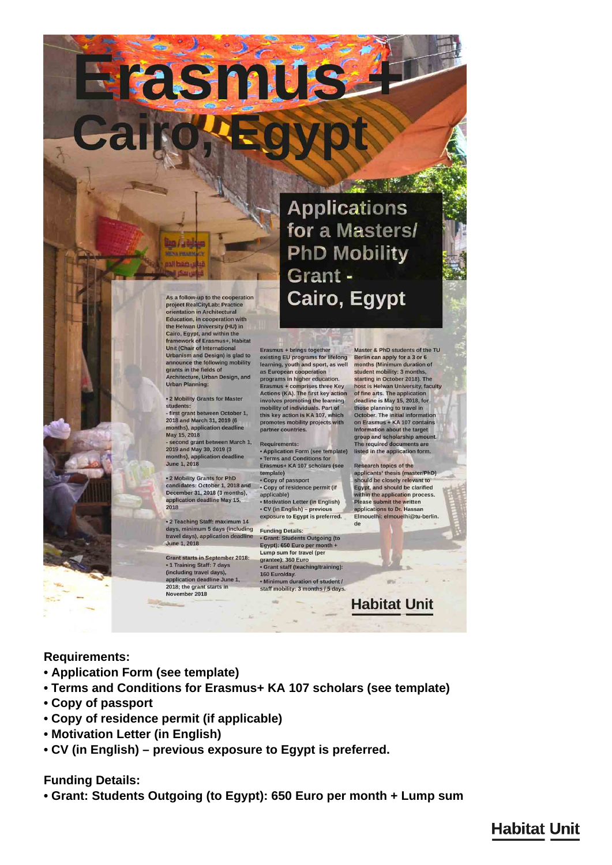**Applications** for a Masters/ **PhD Mobility** Grant -

As a follow-up to the cooperation project RealCityLab: Practice<br>orientation in Architectural Education, in cooperation with<br>the Helwan University (HU) in Cairo, Egypt, and within the<br>framework of Erasmus+, Habitat Unit (Chair of International<br>Urbanism and Design) is glad to announce the following mobility<br>grants in the fields of Architecture, Urban Design, and<br>Urban Planning:

**Hasmus** 

. 2 Mobility Grants for Master students

- first grant between October 1, 2018 and March 31, 2019 (6) months), application deadline May 15, 2018

- second grant between March 1, 2019 and May 30, 2019 (3) months), application deadline June 1, 2018

June 1, 2018<br>
Erasmus+ KA 107 scholars (see<br>
e 2 Mobility Grants for PhD<br>
compy of passport<br>
candidates: October 1, 2018 and<br>
copy of residence permit (if<br>
december 31, 2018 (3 months),<br>
application deadline May 15,<br>  $\cdot$ 

• 2 Teaching Staff: maximum 14<br>days, minimum 5 days (including<br>travel days), application deadline June 1, 2018

**Grant starts in September 2018:** · 1 Training Staff: 7 days (including travel days). application deadline June 1,<br>2018; the grant starts in November 2018

Master & PhD students of the TU Erasmus + brings together existing EU programs for lifelong learning, youth and sport, as well as European cooperation programs in higher education. Erasmus + comprises three Key<br>Actions (KA). The first key action involves promoting the learning<br>mobility of individuals. Part of

this key action is KA 107, which promotes mobility projects with partner countries **Requirements** . Application Form (see template) listed in the application form. + Terms and Conditions for Erasmus+ KA 107 scholars (see

Cairo, Egypt

Research topics of the exposure to Egypt is preferred.

 $\overline{d}$ 

Berlin can apply for a 3 or 6 months (Minimum duration of student mobility: 3 months starting in October 2018). The host is Helwan University, faculty of fine arts. The application deadline is May 15, 2018, for those planning to travel in October. The initial information<br>on Erasmus + KA 107 contains Information about the target group and scholarship amount. The required documents are

applicants' thesis (master/PhD) should be closely relevant to Egypt, and should be clarified within the application process. Please submit the written applications to Dr. Hassar Elmouelhi: elmouelhi@tu-berlin.

**Habitat Unit** 

**Requirements:**

- **Application Form (see template)**
- **Terms and Conditions for Erasmus+ KA 107 scholars (see template)**

**Funding Details** 

• Grant: Students Outgoing (to<br>Egypt): 650 Euro per month +

Grant staff (teaching/training):

• Minimum duration of student / staff mobility: 3 months / 5 days

Lump sum for travel (per

grantee): 360 Euro

160 Euro/day.

- **Copy of passport**
- **Copy of residence permit (if applicable)**
- **Motivation Letter (in English)**
- **CV (in English) previous exposure to Egypt is preferred.**

**Funding Details:**

**• Grant: Students Outgoing (to Egypt): 650 Euro per month + Lump sum**